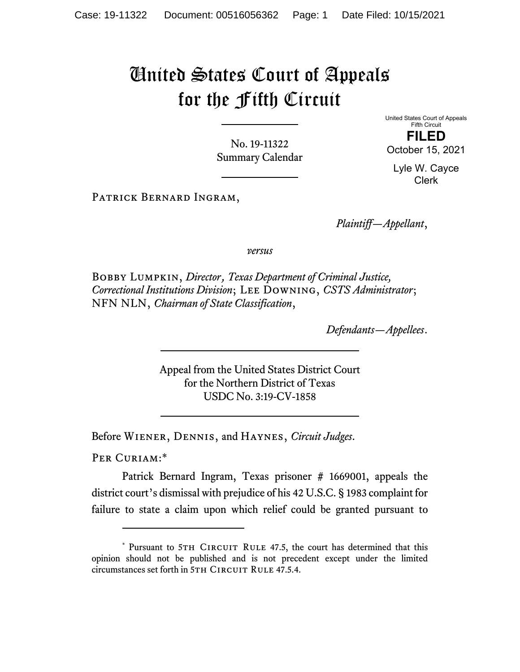## United States Court of Appeals for the Fifth Circuit

No. 19-11322 Summary Calendar United States Court of Appeals Fifth Circuit **FILED** 

October 15, 2021

Lyle W. Cayce Clerk

Patrick Bernard Ingram,

*Plaintiff—Appellant*,

*versus*

Bobby Lumpkin, *Director*, *Texas Department of Criminal Justice, Correctional Institutions Division*; Lee Downing, *CSTS Administrator*; NFN NLN, *Chairman of State Classification*,

*Defendants—Appellees*.

Appeal from the United States District Court for the Northern District of Texas USDC No. 3:19-CV-1858

Before Wiener, Dennis, and Haynes, *Circuit Judges*.

PER CURIAM:\*

Patrick Bernard Ingram, Texas prisoner # 1669001, appeals the district court's dismissal with prejudice of his 42 U.S.C. § 1983 complaint for failure to state a claim upon which relief could be granted pursuant to

<sup>\*</sup> Pursuant to 5TH CIRCUIT RULE 47.5, the court has determined that this opinion should not be published and is not precedent except under the limited circumstances set forth in 5TH CIRCUIT RULE 47.5.4.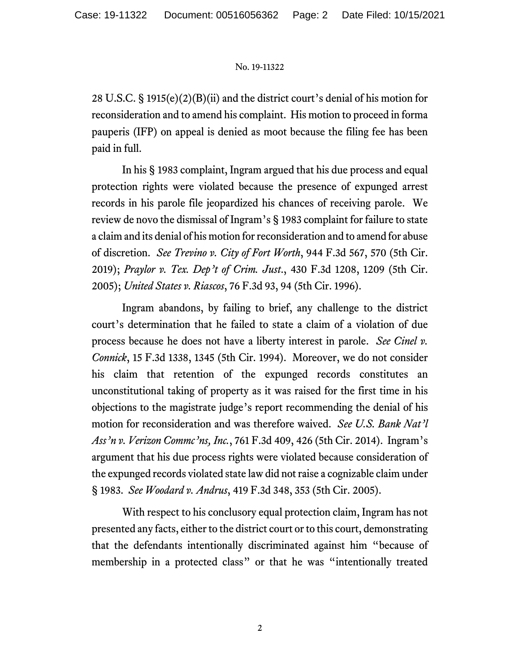## No. 19-11322

28 U.S.C. § 1915(e)(2)(B)(ii) and the district court's denial of his motion for reconsideration and to amend his complaint. His motion to proceed in forma pauperis (IFP) on appeal is denied as moot because the filing fee has been paid in full.

In his § 1983 complaint, Ingram argued that his due process and equal protection rights were violated because the presence of expunged arrest records in his parole file jeopardized his chances of receiving parole. We review de novo the dismissal of Ingram's § 1983 complaint for failure to state a claim and its denial of his motion for reconsideration and to amend for abuse of discretion. *See Trevino v. City of Fort Worth*, 944 F.3d 567, 570 (5th Cir. 2019); *Praylor v. Tex. Dep't of Crim. Just*., 430 F.3d 1208, 1209 (5th Cir. 2005); *United States v. Riascos*, 76 F.3d 93, 94 (5th Cir. 1996).

Ingram abandons, by failing to brief, any challenge to the district court's determination that he failed to state a claim of a violation of due process because he does not have a liberty interest in parole. *See Cinel v. Connick*, 15 F.3d 1338, 1345 (5th Cir. 1994). Moreover, we do not consider his claim that retention of the expunged records constitutes an unconstitutional taking of property as it was raised for the first time in his objections to the magistrate judge's report recommending the denial of his motion for reconsideration and was therefore waived. *See U.S. Bank Nat'l Ass'n v. Verizon Commc'ns, Inc.*, 761 F.3d 409, 426 (5th Cir. 2014). Ingram's argument that his due process rights were violated because consideration of the expunged records violated state law did not raise a cognizable claim under § 1983. *See Woodard v. Andrus*, 419 F.3d 348, 353 (5th Cir. 2005).

With respect to his conclusory equal protection claim, Ingram has not presented any facts, either to the district court or to this court, demonstrating that the defendants intentionally discriminated against him "because of membership in a protected class" or that he was "intentionally treated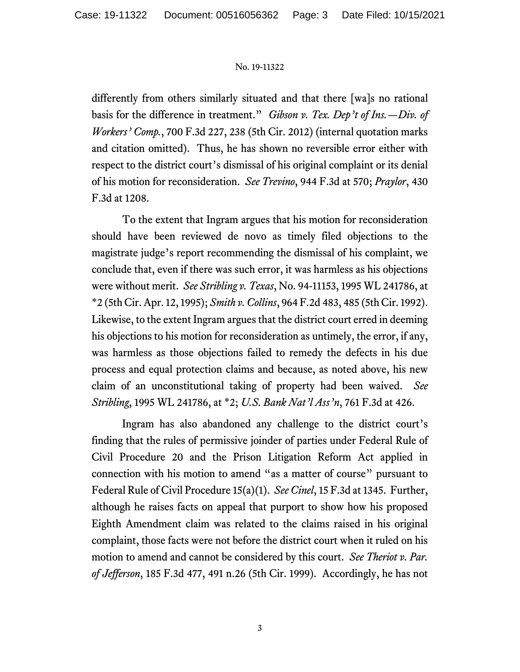## No. 19-11322

differently from others similarly situated and that there [wa]s no rational basis for the difference in treatment." *Gibson v. Tex. Dep't of Ins.—Div. of Workers' Comp.*, 700 F.3d 227, 238 (5th Cir. 2012) (internal quotation marks and citation omitted). Thus, he has shown no reversible error either with respect to the district court's dismissal of his original complaint or its denial of his motion for reconsideration. *See Trevino*, 944 F.3d at 570; *Praylor*, 430 F.3d at 1208.

To the extent that Ingram argues that his motion for reconsideration should have been reviewed de novo as timely filed objections to the magistrate judge's report recommending the dismissal of his complaint, we conclude that, even if there was such error, it was harmless as his objections were without merit. *See Stribling v. Texas*, No. 94-11153, 1995 WL 241786, at \*2 (5th Cir. Apr. 12, 1995); *Smith v. Collins*, 964 F.2d 483, 485 (5th Cir. 1992). Likewise, to the extent Ingram argues that the district court erred in deeming his objections to his motion for reconsideration as untimely, the error, if any, was harmless as those objections failed to remedy the defects in his due process and equal protection claims and because, as noted above, his new claim of an unconstitutional taking of property had been waived. *See Stribling*, 1995 WL 241786, at \*2; *U.S. Bank Nat'l Ass'n*, 761 F.3d at 426.

Ingram has also abandoned any challenge to the district court's finding that the rules of permissive joinder of parties under Federal Rule of Civil Procedure 20 and the Prison Litigation Reform Act applied in connection with his motion to amend "as a matter of course" pursuant to Federal Rule of Civil Procedure 15(a)(1). *See Cinel*, 15 F.3d at 1345. Further, although he raises facts on appeal that purport to show how his proposed Eighth Amendment claim was related to the claims raised in his original complaint, those facts were not before the district court when it ruled on his motion to amend and cannot be considered by this court. *See Theriot v. Par. of Jefferson*, 185 F.3d 477, 491 n.26 (5th Cir. 1999). Accordingly, he has not